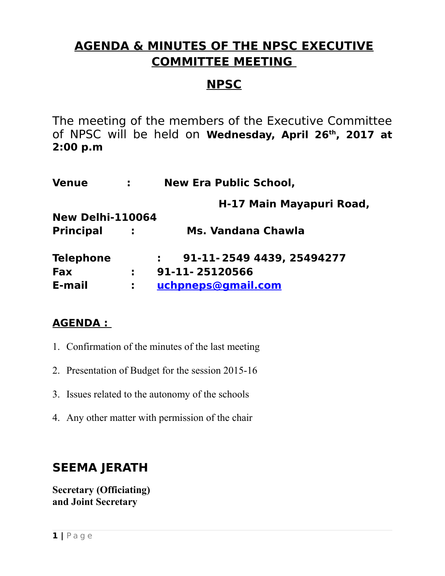### **AGENDA & MINUTES OF THE NPSC EXECUTIVE COMMITTEE MEETING**

### **NPSC**

The meeting of the members of the Executive Committee of NPSC will be held on **Wednesday, April 26th, 2017 at 2:00 p.m**

| <b>Venue</b>            | $\mathbf{1}$ | <b>New Era Public School,</b> |  |  |  |  |  |
|-------------------------|--------------|-------------------------------|--|--|--|--|--|
|                         |              | H-17 Main Mayapuri Road,      |  |  |  |  |  |
| <b>New Delhi-110064</b> |              |                               |  |  |  |  |  |
| <b>Principal</b>        | $\sim 100$   | Ms. Vandana Chawla            |  |  |  |  |  |
| <b>Telephone</b>        |              | 91-11-2549 4439, 25494277     |  |  |  |  |  |
| <b>Fax</b>              | ÷.           | 91-11-25120566                |  |  |  |  |  |
| E-mail                  | ÷.           | uchpneps@gmail.com            |  |  |  |  |  |

### **AGENDA :**

- 1. Confirmation of the minutes of the last meeting
- 2. Presentation of Budget for the session 2015-16
- 3. Issues related to the autonomy of the schools
- 4. Any other matter with permission of the chair

### **SEEMA JERATH**

**Secretary (Officiating) and Joint Secretary**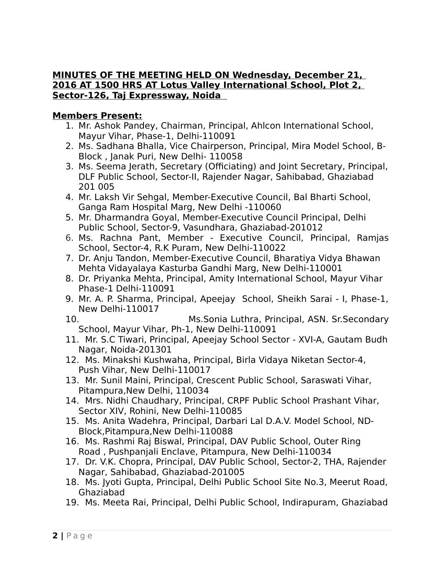#### **MINUTES OF THE MEETING HELD ON Wednesday, December 21, 2016 AT 1500 HRS AT Lotus Valley International School, Plot 2, Sector-126, Taj Expressway, Noida**

### **Members Present:**

- 1. Mr. Ashok Pandey, Chairman, Principal, Ahlcon International School, Mayur Vihar, Phase-1, Delhi-110091
- 2. Ms. Sadhana Bhalla, Vice Chairperson, Principal, Mira Model School, B-Block , Janak Puri, New Delhi- 110058
- 3. Ms. Seema Jerath, Secretary (Officiating) and Joint Secretary, Principal, DLF Public School, Sector-II, Rajender Nagar, Sahibabad, Ghaziabad 201 005
- 4. Mr. Laksh Vir Sehgal, Member-Executive Council, Bal Bharti School, Ganga Ram Hospital Marg, New Delhi -110060
- 5. Mr. Dharmandra Goyal, Member-Executive Council Principal, Delhi Public School, Sector-9, Vasundhara, Ghaziabad-201012
- 6. Ms. Rachna Pant, Member Executive Council, Principal, Ramjas School, Sector-4, R.K Puram, New Delhi-110022
- 7. Dr. Anju Tandon, Member-Executive Council, Bharatiya Vidya Bhawan Mehta Vidayalaya Kasturba Gandhi Marg, New Delhi-110001
- 8. Dr. Priyanka Mehta, Principal, Amity International School, Mayur Vihar Phase-1 Delhi-110091
- 9. Mr. A. P. Sharma, Principal, Apeejay School, Sheikh Sarai I, Phase-1, New Delhi-110017
- 10. Ms.Sonia Luthra, Principal, ASN. Sr.Secondary School, Mayur Vihar, Ph-1, New Delhi-110091
- 11. Mr. S.C Tiwari, Principal, Apeejay School Sector XVI-A, Gautam Budh Nagar, Noida-201301
- 12. Ms. Minakshi Kushwaha, Principal, Birla Vidaya Niketan Sector-4, Push Vihar, New Delhi-110017
- 13. Mr. Sunil Maini, Principal, Crescent Public School, Saraswati Vihar, Pitampura,New Delhi, 110034
- 14. Mrs. Nidhi Chaudhary, Principal, CRPF Public School Prashant Vihar, Sector XIV, Rohini, New Delhi-110085
- 15. Ms. Anita Wadehra, Principal, Darbari Lal D.A.V. Model School, ND-Block,Pitampura,New Delhi-110088
- 16. Ms. Rashmi Raj Biswal, Principal, DAV Public School, Outer Ring Road , Pushpanjali Enclave, Pitampura, New Delhi-110034
- 17. Dr. V.K. Chopra, Principal, DAV Public School, Sector-2, THA, Rajender Nagar, Sahibabad, Ghaziabad-201005
- 18. Ms. Jyoti Gupta, Principal, Delhi Public School Site No.3, Meerut Road, Ghaziabad
- 19. Ms. Meeta Rai, Principal, Delhi Public School, Indirapuram, Ghaziabad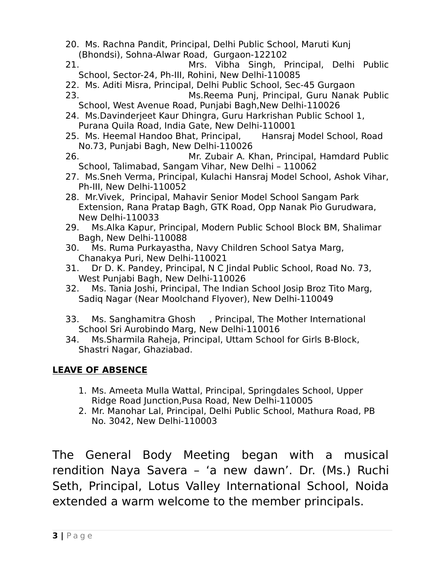- 20. Ms. Rachna Pandit, Principal, Delhi Public School, Maruti Kunj (Bhondsi), Sohna-Alwar Road, Gurgaon-122102
- 21. Mrs. Vibha Singh, Principal, Delhi Public School, Sector-24, Ph-III, Rohini, New Delhi-110085
- 22. Ms. Aditi Misra, Principal, Delhi Public School, Sec-45 Gurgaon
- 23. Ms.Reema Punj, Principal, Guru Nanak Public School, West Avenue Road, Punjabi Bagh,New Delhi-110026
- 24. Ms.Davinderjeet Kaur Dhingra, Guru Harkrishan Public School 1, Purana Quila Road, India Gate, New Delhi-110001
- 25. Ms. Heemal Handoo Bhat, Principal, Hansraj Model School, Road No.73, Punjabi Bagh, New Delhi-110026
- 26. Mr. Zubair A. Khan, Principal, Hamdard Public School, Talimabad, Sangam Vihar, New Delhi – 110062
- 27. Ms.Sneh Verma, Principal, Kulachi Hansraj Model School, Ashok Vihar, Ph-III, New Delhi-110052
- 28. Mr.Vivek, Principal, Mahavir Senior Model School Sangam Park Extension, Rana Pratap Bagh, GTK Road, Opp Nanak Pio Gurudwara, New Delhi-110033
- 29. Ms.Alka Kapur, Principal, Modern Public School Block BM, Shalimar Bagh, New Delhi-110088
- 30. Ms. Ruma Purkayastha, Navy Children School Satya Marg, Chanakya Puri, New Delhi-110021
- 31. Dr D. K. Pandey, Principal, N C Jindal Public School, Road No. 73, West Punjabi Bagh, New Delhi-110026
- 32. Ms. Tania Joshi, Principal, The Indian School Josip Broz Tito Marg, Sadiq Nagar (Near Moolchand Flyover), New Delhi-110049
- 33. Ms. Sanghamitra Ghosh , Principal, The Mother International School Sri Aurobindo Marg, New Delhi-110016
- 34. Ms.Sharmila Raheja, Principal, Uttam School for Girls B-Block, Shastri Nagar, Ghaziabad.

### **LEAVE OF ABSENCE**

- 1. Ms. Ameeta Mulla Wattal, Principal, Springdales School, Upper Ridge Road Junction,Pusa Road, New Delhi-110005
- 2. Mr. Manohar Lal, Principal, Delhi Public School, Mathura Road, PB No. 3042, New Delhi-110003

The General Body Meeting began with a musical rendition Naya Savera – 'a new dawn'. Dr. (Ms.) Ruchi Seth, Principal, Lotus Valley International School, Noida extended a warm welcome to the member principals.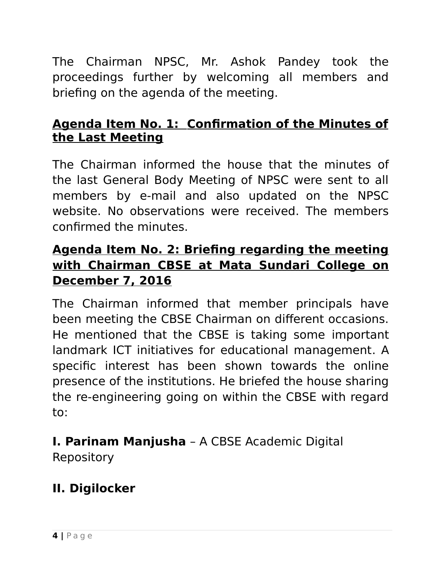The Chairman NPSC, Mr. Ashok Pandey took the proceedings further by welcoming all members and briefing on the agenda of the meeting.

### **Agenda Item No. 1: Confirmation of the Minutes of the Last Meeting**

The Chairman informed the house that the minutes of the last General Body Meeting of NPSC were sent to all members by e-mail and also updated on the NPSC website. No observations were received. The members confirmed the minutes.

### **Agenda Item No. 2: Briefing regarding the meeting with Chairman CBSE at Mata Sundari College on December 7, 2016**

The Chairman informed that member principals have been meeting the CBSE Chairman on different occasions. He mentioned that the CBSE is taking some important landmark ICT initiatives for educational management. A specific interest has been shown towards the online presence of the institutions. He briefed the house sharing the re-engineering going on within the CBSE with regard to:

# **I. Parinam Manjusha** – A CBSE Academic Digital

Repository

# **II. Digilocker**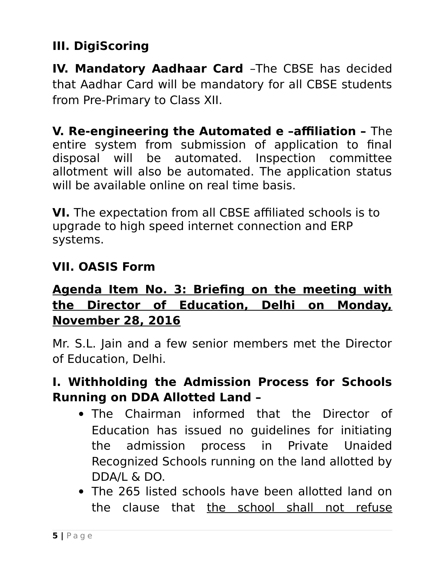# **III. DigiScoring**

**IV. Mandatory Aadhaar Card** –The CBSE has decided that Aadhar Card will be mandatory for all CBSE students from Pre-Primary to Class XII.

**V. Re-engineering the Automated e –affiliation –** The entire system from submission of application to final disposal will be automated. Inspection committee allotment will also be automated. The application status will be available online on real time basis.

**VI.** The expectation from all CBSE affiliated schools is to upgrade to high speed internet connection and ERP systems.

### **VII. OASIS Form**

## **Agenda Item No. 3: Briefing on the meeting with the Director of Education, Delhi on Monday, November 28, 2016**

Mr. S.L. Jain and a few senior members met the Director of Education, Delhi.

### **I. Withholding the Admission Process for Schools Running on DDA Allotted Land –**

- The Chairman informed that the Director of Education has issued no guidelines for initiating the admission process in Private Unaided Recognized Schools running on the land allotted by DDA/L & DO.
- The 265 listed schools have been allotted land on the clause that the school shall not refuse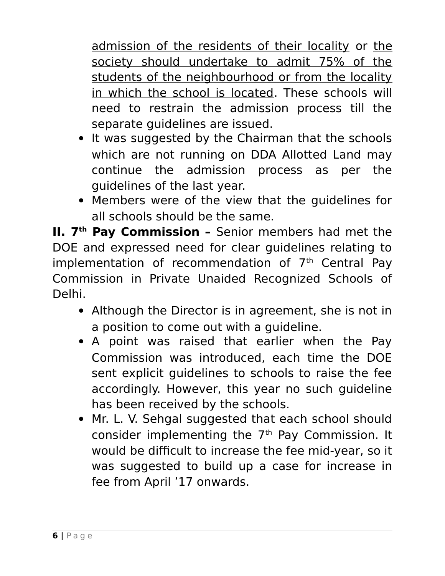admission of the residents of their locality or the society should undertake to admit 75% of the students of the neighbourhood or from the locality in which the school is located. These schools will need to restrain the admission process till the separate guidelines are issued.

- It was suggested by the Chairman that the schools which are not running on DDA Allotted Land may continue the admission process as per the guidelines of the last year.
- Members were of the view that the guidelines for all schools should be the same.

**II. 7th Pay Commission –** Senior members had met the DOE and expressed need for clear guidelines relating to implementation of recommendation of  $7<sup>th</sup>$  Central Pay Commission in Private Unaided Recognized Schools of Delhi.

- Although the Director is in agreement, she is not in a position to come out with a guideline.
- A point was raised that earlier when the Pay Commission was introduced, each time the DOE sent explicit guidelines to schools to raise the fee accordingly. However, this year no such guideline has been received by the schools.
- Mr. L. V. Sehgal suggested that each school should consider implementing the 7<sup>th</sup> Pay Commission. It would be difficult to increase the fee mid-year, so it was suggested to build up a case for increase in fee from April '17 onwards.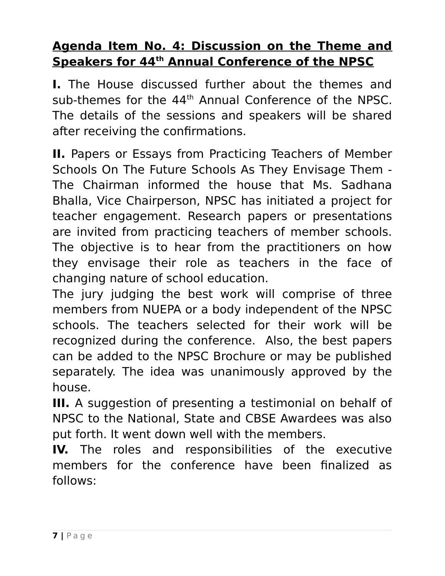### **Agenda Item No. 4: Discussion on the Theme and <u>Speakers for 44<sup>th</sup> Annual Conference of the NPSC</u>**

**I.** The House discussed further about the themes and sub-themes for the 44<sup>th</sup> Annual Conference of the NPSC. The details of the sessions and speakers will be shared after receiving the confirmations.

**II.** Papers or Essays from Practicing Teachers of Member Schools On The Future Schools As They Envisage Them - The Chairman informed the house that Ms. Sadhana Bhalla, Vice Chairperson, NPSC has initiated a project for teacher engagement. Research papers or presentations are invited from practicing teachers of member schools. The objective is to hear from the practitioners on how they envisage their role as teachers in the face of changing nature of school education.

The jury judging the best work will comprise of three members from NUEPA or a body independent of the NPSC schools. The teachers selected for their work will be recognized during the conference. Also, the best papers can be added to the NPSC Brochure or may be published separately. The idea was unanimously approved by the house.

**III.** A suggestion of presenting a testimonial on behalf of NPSC to the National, State and CBSE Awardees was also put forth. It went down well with the members.

**IV.** The roles and responsibilities of the executive members for the conference have been finalized as follows: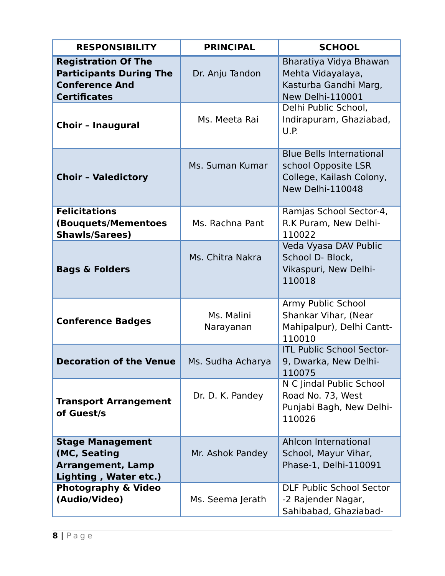| <b>RESPONSIBILITY</b>                                                                                        | <b>PRINCIPAL</b>                                                                                   | <b>SCHOOL</b>                                                                                          |  |
|--------------------------------------------------------------------------------------------------------------|----------------------------------------------------------------------------------------------------|--------------------------------------------------------------------------------------------------------|--|
| <b>Registration Of The</b><br><b>Participants During The</b><br><b>Conference And</b><br><b>Certificates</b> | Dr. Anju Tandon                                                                                    | Bharatiya Vidya Bhawan<br>Mehta Vidayalaya,<br>Kasturba Gandhi Marg,<br>New Delhi-110001               |  |
| <b>Choir - Inaugural</b>                                                                                     | Ms. Meeta Rai                                                                                      | Delhi Public School,<br>Indirapuram, Ghaziabad,<br>U.P.                                                |  |
| <b>Choir - Valedictory</b>                                                                                   | Ms. Suman Kumar                                                                                    | <b>Blue Bells International</b><br>school Opposite LSR<br>College, Kailash Colony,<br>New Delhi-110048 |  |
| <b>Felicitations</b><br>(Bouquets/Mementoes<br><b>Shawls/Sarees)</b>                                         | Ms. Rachna Pant                                                                                    | Ramjas School Sector-4,<br>R.K Puram, New Delhi-<br>110022                                             |  |
| <b>Bags &amp; Folders</b>                                                                                    | Ms. Chitra Nakra                                                                                   | Veda Vyasa DAV Public<br>School D- Block,<br>Vikaspuri, New Delhi-<br>110018                           |  |
| <b>Conference Badges</b>                                                                                     | Ms. Malini<br>Narayanan                                                                            | Army Public School<br>Shankar Vihar, (Near<br>Mahipalpur), Delhi Cantt-<br>110010                      |  |
| <b>Decoration of the Venue</b>                                                                               | Ms. Sudha Acharya                                                                                  | <b>ITL Public School Sector-</b><br>9, Dwarka, New Delhi-<br>110075                                    |  |
| <b>Transport Arrangement</b><br>of Guest/s                                                                   | Dr. D. K. Pandey                                                                                   | N C Jindal Public School<br>Road No. 73, West<br>Punjabi Bagh, New Delhi-<br>110026                    |  |
| <b>Stage Management</b><br>(MC, Seating<br><b>Arrangement, Lamp</b><br>Lighting, Water etc.)                 | Mr. Ashok Pandey                                                                                   | Ahlcon International<br>School, Mayur Vihar,<br>Phase-1, Delhi-110091                                  |  |
| <b>Photography &amp; Video</b><br>(Audio/Video)                                                              | <b>DLF Public School Sector</b><br>Ms. Seema Jerath<br>-2 Rajender Nagar,<br>Sahibabad, Ghaziabad- |                                                                                                        |  |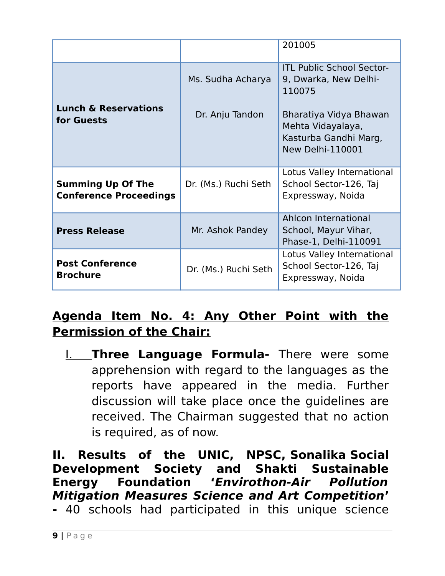|                                                           |                      | 201005                                                                                   |
|-----------------------------------------------------------|----------------------|------------------------------------------------------------------------------------------|
|                                                           | Ms. Sudha Acharya    | <b>ITL Public School Sector-</b><br>9, Dwarka, New Delhi-<br>110075                      |
| <b>Lunch &amp; Reservations</b><br>for Guests             | Dr. Anju Tandon      | Bharatiya Vidya Bhawan<br>Mehta Vidayalaya,<br>Kasturba Gandhi Marg,<br>New Delhi-110001 |
| <b>Summing Up Of The</b><br><b>Conference Proceedings</b> | Dr. (Ms.) Ruchi Seth | Lotus Valley International<br>School Sector-126, Taj<br>Expressway, Noida                |
| <b>Press Release</b>                                      | Mr. Ashok Pandey     | Ahlcon International<br>School, Mayur Vihar,<br>Phase-1, Delhi-110091                    |
| <b>Post Conference</b><br><b>Brochure</b>                 | Dr. (Ms.) Ruchi Seth | Lotus Valley International<br>School Sector-126, Taj<br>Expressway, Noida                |

# **Agenda Item No. 4: Any Other Point with the Permission of the Chair:**

I. **Three Language Formula-** There were some apprehension with regard to the languages as the reports have appeared in the media. Further discussion will take place once the guidelines are received. The Chairman suggested that no action is required, as of now.

**II. Results of the UNIC, NPSC, Sonalika Social Development Society and Shakti Sustainable Energy Foundation 'Envirothon-Air Pollution Mitigation Measures Science and Art Competition'**

**-** 40 schools had participated in this unique science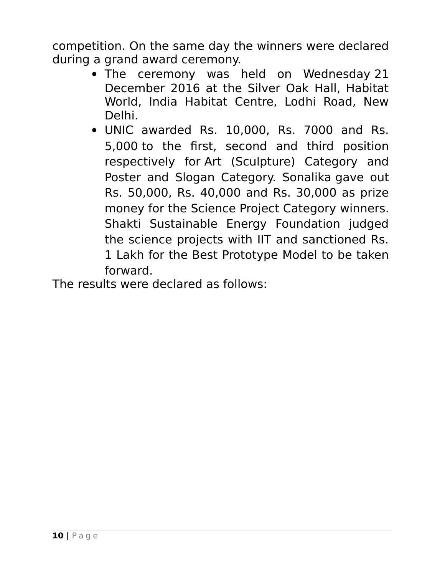competition. On the same day the winners were declared during a grand award ceremony.

- The ceremony was held on Wednesday 21 December 2016 at the Silver Oak Hall, Habitat World, India Habitat Centre, Lodhi Road, New Delhi.
- UNIC awarded Rs. 10,000, Rs. 7000 and Rs. 5,000 to the first, second and third position respectively for Art (Sculpture) Category and Poster and Slogan Category. Sonalika gave out Rs. 50,000, Rs. 40,000 and Rs. 30,000 as prize money for the Science Project Category winners. Shakti Sustainable Energy Foundation judged the science projects with IIT and sanctioned Rs. 1 Lakh for the Best Prototype Model to be taken forward.

The results were declared as follows: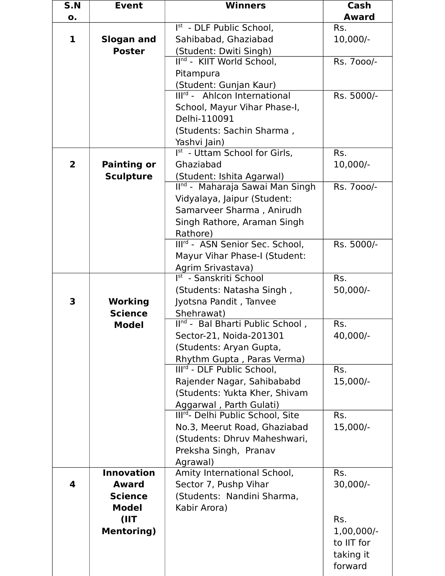| S.N                     | <b>Event</b>       | <b>Winners</b>                              | Cash         |
|-------------------------|--------------------|---------------------------------------------|--------------|
| $\mathbf{o}$ .          |                    |                                             | <b>Award</b> |
|                         |                    | Ist - DLF Public School,                    | Rs.          |
| 1                       | <b>Slogan and</b>  | Sahibabad, Ghaziabad                        | 10,000/-     |
|                         | <b>Poster</b>      | (Student: Dwiti Singh)                      |              |
|                         |                    | IInd - KIIT World School,                   | Rs. 7000/-   |
|                         |                    | Pitampura                                   |              |
|                         |                    | (Student: Gunjan Kaur)                      |              |
|                         |                    | Ill <sup>rd</sup> - Ahlcon International    | Rs. 5000/-   |
|                         |                    | School, Mayur Vihar Phase-I,                |              |
|                         |                    | Delhi-110091                                |              |
|                         |                    | (Students: Sachin Sharma,                   |              |
|                         |                    | Yashvi Jain)                                |              |
|                         |                    | Ist - Uttam School for Girls,               | Rs.          |
| $\overline{\mathbf{2}}$ | <b>Painting or</b> | Ghaziabad                                   | 10,000/-     |
|                         | <b>Sculpture</b>   | (Student: Ishita Agarwal)                   |              |
|                         |                    | II <sup>nd</sup> - Maharaja Sawai Man Singh | Rs. 7000/-   |
|                         |                    | Vidyalaya, Jaipur (Student:                 |              |
|                         |                    | Samarveer Sharma, Anirudh                   |              |
|                         |                    | Singh Rathore, Araman Singh                 |              |
|                         |                    | Rathore)                                    |              |
|                         |                    | Illrd - ASN Senior Sec. School,             | Rs. 5000/-   |
|                         |                    | Mayur Vihar Phase-I (Student:               |              |
|                         |                    | Agrim Srivastava)                           |              |
|                         |                    | Ist - Sanskriti School                      | Rs.          |
|                         |                    | (Students: Natasha Singh,                   | 50,000/-     |
| 3                       | Working            | Jyotsna Pandit, Tanvee                      |              |
|                         | <b>Science</b>     | Shehrawat)                                  |              |
|                         | <b>Model</b>       | IInd - Bal Bharti Public School,            | Rs.          |
|                         |                    | Sector-21, Noida-201301                     | 40,000/-     |
|                         |                    | (Students: Aryan Gupta,                     |              |
|                         |                    | Rhythm Gupta, Paras Verma)                  |              |
|                         |                    | Illrd - DLF Public School,                  | Rs.          |
|                         |                    | Rajender Nagar, Sahibababd                  | 15,000/-     |
|                         |                    | (Students: Yukta Kher, Shivam               |              |
|                         |                    | Aggarwal, Parth Gulati)                     |              |
|                         |                    | Illrd- Delhi Public School, Site            | Rs.          |
|                         |                    | No.3, Meerut Road, Ghaziabad                | 15,000/-     |
|                         |                    | (Students: Dhruv Maheshwari,                |              |
|                         |                    | Preksha Singh, Pranav                       |              |
|                         |                    | Agrawal)                                    |              |
|                         | <b>Innovation</b>  | Amity International School,                 | Rs.          |
| 4                       | <b>Award</b>       | Sector 7, Pushp Vihar                       | $30,000/-$   |
|                         | <b>Science</b>     | (Students: Nandini Sharma,                  |              |
|                         | <b>Model</b>       | Kabir Arora)                                |              |
|                         | (IIT               |                                             | Rs.          |
|                         | <b>Mentoring)</b>  |                                             | $1,00,000/-$ |
|                         |                    |                                             | to IIT for   |
|                         |                    |                                             | taking it    |
|                         |                    |                                             | forward      |
|                         |                    |                                             |              |